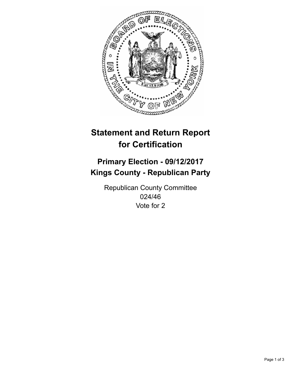

## **Statement and Return Report for Certification**

## **Primary Election - 09/12/2017 Kings County - Republican Party**

Republican County Committee 024/46 Vote for 2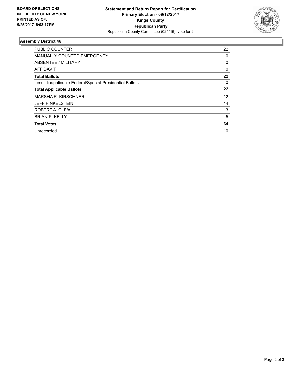

## **Assembly District 46**

| <b>PUBLIC COUNTER</b>                                    | 22       |
|----------------------------------------------------------|----------|
| <b>MANUALLY COUNTED EMERGENCY</b>                        | 0        |
| <b>ABSENTEE / MILITARY</b>                               | 0        |
| AFFIDAVIT                                                | $\Omega$ |
| <b>Total Ballots</b>                                     | 22       |
| Less - Inapplicable Federal/Special Presidential Ballots | 0        |
| <b>Total Applicable Ballots</b>                          | 22       |
| <b>MARSHA R. KIRSCHNER</b>                               | 12       |
| <b>JEFF FINKELSTEIN</b>                                  | 14       |
| ROBERT A. OLIVA                                          | 3        |
| <b>BRIAN P. KELLY</b>                                    | 5        |
| <b>Total Votes</b>                                       | 34       |
| Unrecorded                                               | 10       |